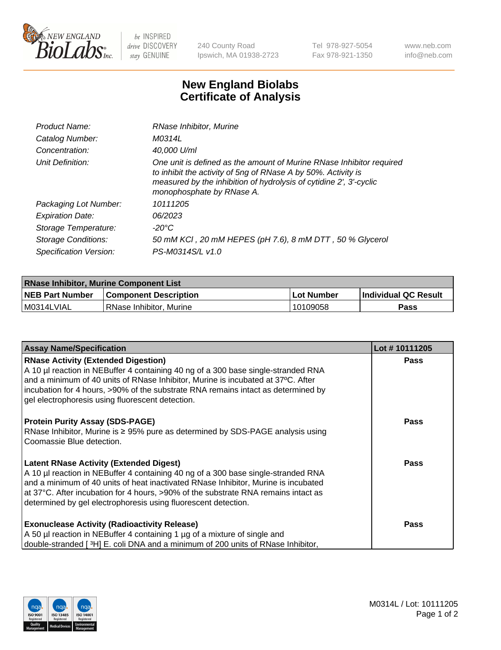

 $be$  INSPIRED drive DISCOVERY stay GENUINE

240 County Road Ipswich, MA 01938-2723 Tel 978-927-5054 Fax 978-921-1350 www.neb.com info@neb.com

## **New England Biolabs Certificate of Analysis**

| Product Name:           | RNase Inhibitor, Murine                                                                                                                                                                                                                  |
|-------------------------|------------------------------------------------------------------------------------------------------------------------------------------------------------------------------------------------------------------------------------------|
| Catalog Number:         | M0314L                                                                                                                                                                                                                                   |
| Concentration:          | 40,000 U/ml                                                                                                                                                                                                                              |
| Unit Definition:        | One unit is defined as the amount of Murine RNase Inhibitor required<br>to inhibit the activity of 5ng of RNase A by 50%. Activity is<br>measured by the inhibition of hydrolysis of cytidine 2', 3'-cyclic<br>monophosphate by RNase A. |
| Packaging Lot Number:   | 10111205                                                                                                                                                                                                                                 |
| <b>Expiration Date:</b> | 06/2023                                                                                                                                                                                                                                  |
| Storage Temperature:    | -20°C                                                                                                                                                                                                                                    |
| Storage Conditions:     | 50 mM KCI, 20 mM HEPES (pH 7.6), 8 mM DTT, 50 % Glycerol                                                                                                                                                                                 |
| Specification Version:  | PS-M0314S/L v1.0                                                                                                                                                                                                                         |

| <b>RNase Inhibitor, Murine Component List</b> |                              |              |                             |  |
|-----------------------------------------------|------------------------------|--------------|-----------------------------|--|
| <b>NEB Part Number</b>                        | <b>Component Description</b> | l Lot Number | <b>Individual QC Result</b> |  |
| M0314LVIAL                                    | l RNase Inhibitor. Murine    | 10109058     | Pass                        |  |

| <b>Assay Name/Specification</b>                                                                                                                                       | Lot #10111205 |
|-----------------------------------------------------------------------------------------------------------------------------------------------------------------------|---------------|
| <b>RNase Activity (Extended Digestion)</b>                                                                                                                            | <b>Pass</b>   |
| A 10 µl reaction in NEBuffer 4 containing 40 ng of a 300 base single-stranded RNA<br>and a minimum of 40 units of RNase Inhibitor, Murine is incubated at 37°C. After |               |
| incubation for 4 hours, >90% of the substrate RNA remains intact as determined by                                                                                     |               |
| gel electrophoresis using fluorescent detection.                                                                                                                      |               |
|                                                                                                                                                                       |               |
| <b>Protein Purity Assay (SDS-PAGE)</b>                                                                                                                                | <b>Pass</b>   |
| RNase Inhibitor, Murine is ≥ 95% pure as determined by SDS-PAGE analysis using                                                                                        |               |
| Coomassie Blue detection.                                                                                                                                             |               |
| <b>Latent RNase Activity (Extended Digest)</b>                                                                                                                        | Pass          |
| A 10 µl reaction in NEBuffer 4 containing 40 ng of a 300 base single-stranded RNA                                                                                     |               |
| and a minimum of 40 units of heat inactivated RNase Inhibitor, Murine is incubated                                                                                    |               |
| at 37°C. After incubation for 4 hours, >90% of the substrate RNA remains intact as                                                                                    |               |
| determined by gel electrophoresis using fluorescent detection.                                                                                                        |               |
| <b>Exonuclease Activity (Radioactivity Release)</b>                                                                                                                   | Pass          |
| A 50 µl reaction in NEBuffer 4 containing 1 µg of a mixture of single and                                                                                             |               |
| double-stranded [3H] E. coli DNA and a minimum of 200 units of RNase Inhibitor,                                                                                       |               |